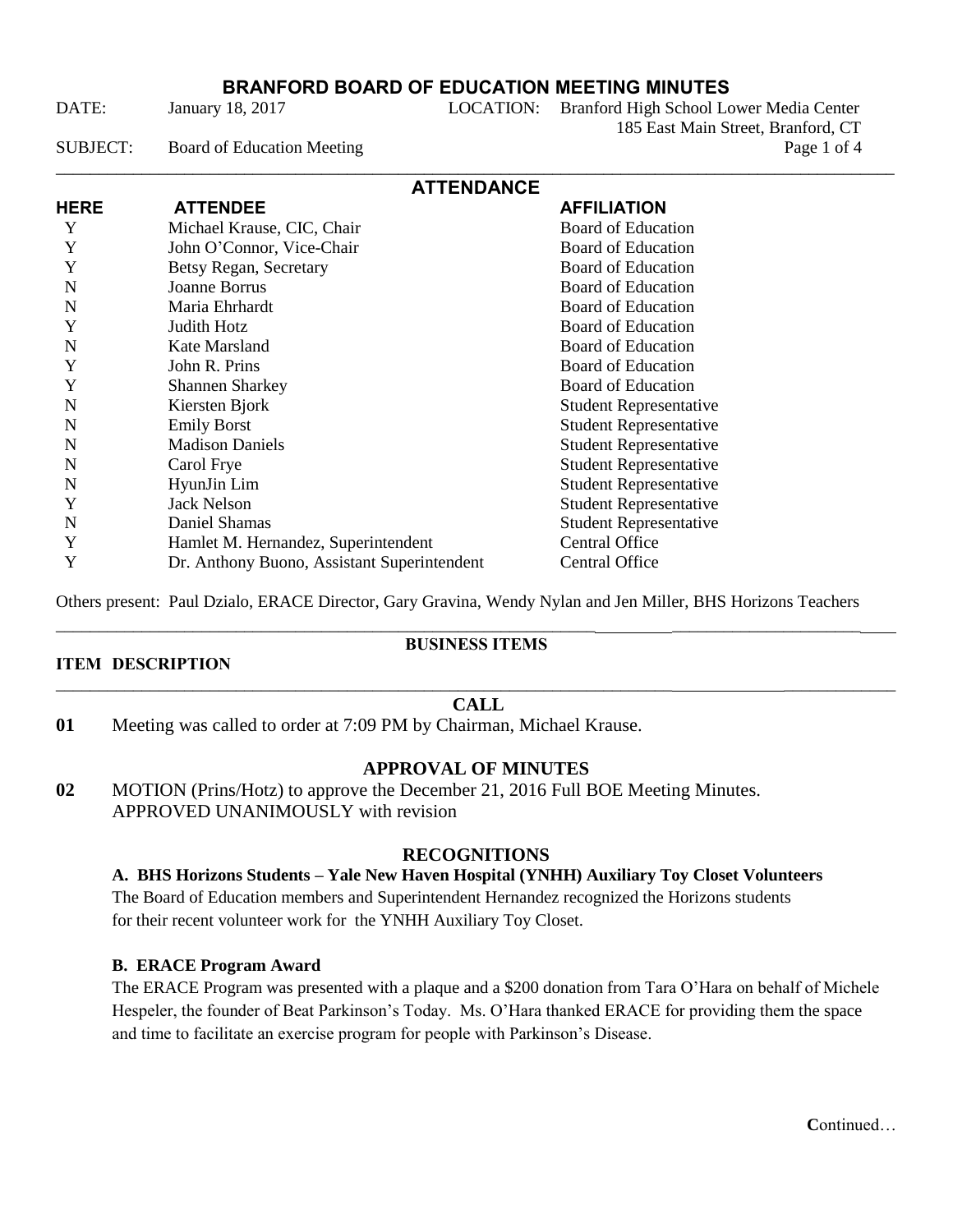DATE: January 18, 2017 LOCATION: Branford High School Lower Media Center 185 East Main Street, Branford, CT SUBJECT: Board of Education Meeting Page 1 of 4

| <b>ATTENDANCE</b> |                                             |                               |  |
|-------------------|---------------------------------------------|-------------------------------|--|
| <b>HERE</b>       | <b>ATTENDEE</b>                             | <b>AFFILIATION</b>            |  |
| Y                 | Michael Krause, CIC, Chair                  | <b>Board of Education</b>     |  |
| Y                 | John O'Connor, Vice-Chair                   | <b>Board of Education</b>     |  |
| Y                 | Betsy Regan, Secretary                      | Board of Education            |  |
| N                 | Joanne Borrus                               | <b>Board of Education</b>     |  |
| N                 | Maria Ehrhardt                              | <b>Board of Education</b>     |  |
| Y                 | Judith Hotz                                 | <b>Board of Education</b>     |  |
| N                 | Kate Marsland                               | Board of Education            |  |
| Y                 | John R. Prins                               | <b>Board of Education</b>     |  |
| Y                 | <b>Shannen Sharkey</b>                      | Board of Education            |  |
| N                 | Kiersten Bjork                              | <b>Student Representative</b> |  |
| N                 | <b>Emily Borst</b>                          | <b>Student Representative</b> |  |
| N                 | <b>Madison Daniels</b>                      | <b>Student Representative</b> |  |
| N                 | Carol Frye                                  | <b>Student Representative</b> |  |
| N                 | HyunJin Lim                                 | <b>Student Representative</b> |  |
| Y                 | <b>Jack Nelson</b>                          | <b>Student Representative</b> |  |
| N                 | Daniel Shamas                               | <b>Student Representative</b> |  |
| Y                 | Hamlet M. Hernandez, Superintendent         | <b>Central Office</b>         |  |
| Y                 | Dr. Anthony Buono, Assistant Superintendent | Central Office                |  |

Others present: Paul Dzialo, ERACE Director, Gary Gravina, Wendy Nylan and Jen Miller, BHS Horizons Teachers \_\_\_\_\_\_\_\_\_\_\_\_\_\_\_\_\_\_\_\_\_\_\_\_\_\_\_\_\_\_\_\_\_\_\_\_\_\_\_\_\_\_\_\_\_\_\_\_\_\_\_\_\_\_\_\_\_\_\_\_\_\_\_ \_\_\_\_\_\_\_\_\_\_\_\_\_\_\_\_\_\_\_\_\_\_

## **ITEM DESCRIPTION**

# **BUSINESS ITEMS**

### \_\_\_\_\_\_\_\_\_\_\_\_\_\_\_\_\_\_\_\_\_\_\_\_\_\_\_\_\_\_\_\_\_\_\_\_\_\_\_\_\_\_\_\_\_\_\_\_\_\_\_\_\_\_\_\_\_\_\_\_\_\_\_\_\_\_\_\_\_\_\_\_ \_\_\_\_\_\_\_\_\_\_\_\_\_ **CALL**

**01** Meeting was called to order at 7:09 PM by Chairman, Michael Krause.

## **APPROVAL OF MINUTES**

**02** MOTION (Prins/Hotz) to approve the December 21, 2016 Full BOE Meeting Minutes. APPROVED UNANIMOUSLY with revision

## **RECOGNITIONS**

## **A. BHS Horizons Students – Yale New Haven Hospital (YNHH) Auxiliary Toy Closet Volunteers**

The Board of Education members and Superintendent Hernandez recognized the Horizons students for their recent volunteer work for the YNHH Auxiliary Toy Closet.

#### **B. ERACE Program Award**

The ERACE Program was presented with a plaque and a \$200 donation from Tara O'Hara on behalf of Michele Hespeler, the founder of Beat Parkinson's Today. Ms. O'Hara thanked ERACE for providing them the space and time to facilitate an exercise program for people with Parkinson's Disease.

**C**ontinued…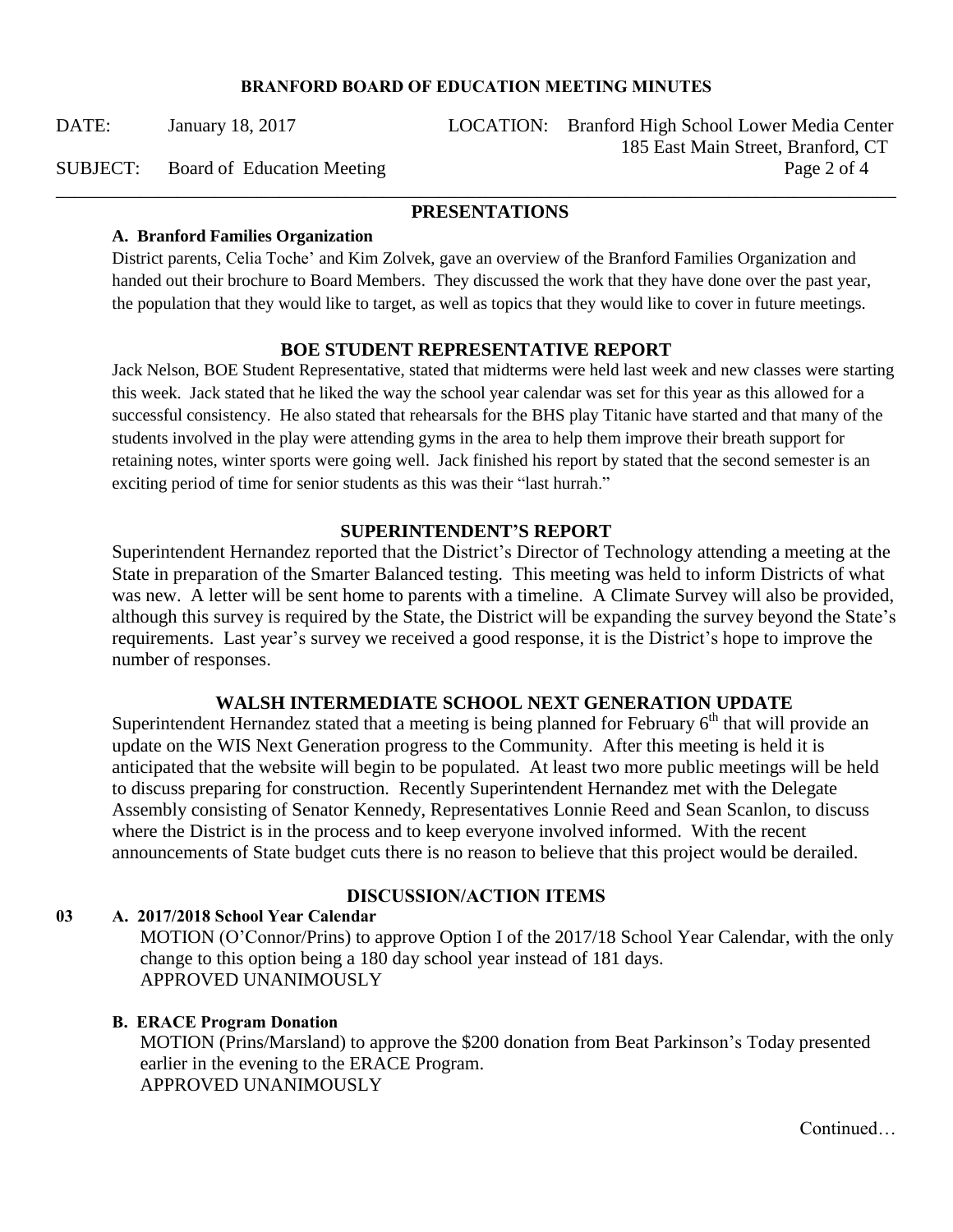DATE: January 18, 2017 LOCATION: Branford High School Lower Media Center 185 East Main Street, Branford, CT SUBJECT: Board of Education Meeting Page 2 of 4

\_\_\_\_\_\_\_\_\_\_\_\_\_\_\_\_\_\_\_\_\_\_\_\_\_\_\_\_\_\_\_\_\_\_\_\_\_\_\_\_\_\_\_\_\_\_\_\_\_\_\_\_\_\_\_\_\_\_\_\_\_\_\_\_\_\_\_\_\_\_\_\_\_\_\_\_\_\_\_\_\_\_\_\_\_\_\_\_\_\_

### **PRESENTATIONS**

#### **A. Branford Families Organization**

District parents, Celia Toche' and Kim Zolvek, gave an overview of the Branford Families Organization and handed out their brochure to Board Members. They discussed the work that they have done over the past year, the population that they would like to target, as well as topics that they would like to cover in future meetings.

#### **BOE STUDENT REPRESENTATIVE REPORT**

Jack Nelson, BOE Student Representative, stated that midterms were held last week and new classes were starting this week. Jack stated that he liked the way the school year calendar was set for this year as this allowed for a successful consistency. He also stated that rehearsals for the BHS play Titanic have started and that many of the students involved in the play were attending gyms in the area to help them improve their breath support for retaining notes, winter sports were going well. Jack finished his report by stated that the second semester is an exciting period of time for senior students as this was their "last hurrah."

## **SUPERINTENDENT'S REPORT**

Superintendent Hernandez reported that the District's Director of Technology attending a meeting at the State in preparation of the Smarter Balanced testing. This meeting was held to inform Districts of what was new. A letter will be sent home to parents with a timeline. A Climate Survey will also be provided, although this survey is required by the State, the District will be expanding the survey beyond the State's requirements. Last year's survey we received a good response, it is the District's hope to improve the number of responses.

## **WALSH INTERMEDIATE SCHOOL NEXT GENERATION UPDATE**

Superintendent Hernandez stated that a meeting is being planned for February  $6<sup>th</sup>$  that will provide an update on the WIS Next Generation progress to the Community. After this meeting is held it is anticipated that the website will begin to be populated. At least two more public meetings will be held to discuss preparing for construction. Recently Superintendent Hernandez met with the Delegate Assembly consisting of Senator Kennedy, Representatives Lonnie Reed and Sean Scanlon, to discuss where the District is in the process and to keep everyone involved informed. With the recent announcements of State budget cuts there is no reason to believe that this project would be derailed.

## **03 A. 2017/2018 School Year Calendar**

MOTION (O'Connor/Prins) to approve Option I of the 2017/18 School Year Calendar, with the only

**DISCUSSION/ACTION ITEMS**

change to this option being a 180 day school year instead of 181 days. APPROVED UNANIMOUSLY

#### **B. ERACE Program Donation**

MOTION (Prins/Marsland) to approve the \$200 donation from Beat Parkinson's Today presented earlier in the evening to the ERACE Program. APPROVED UNANIMOUSLY

Continued…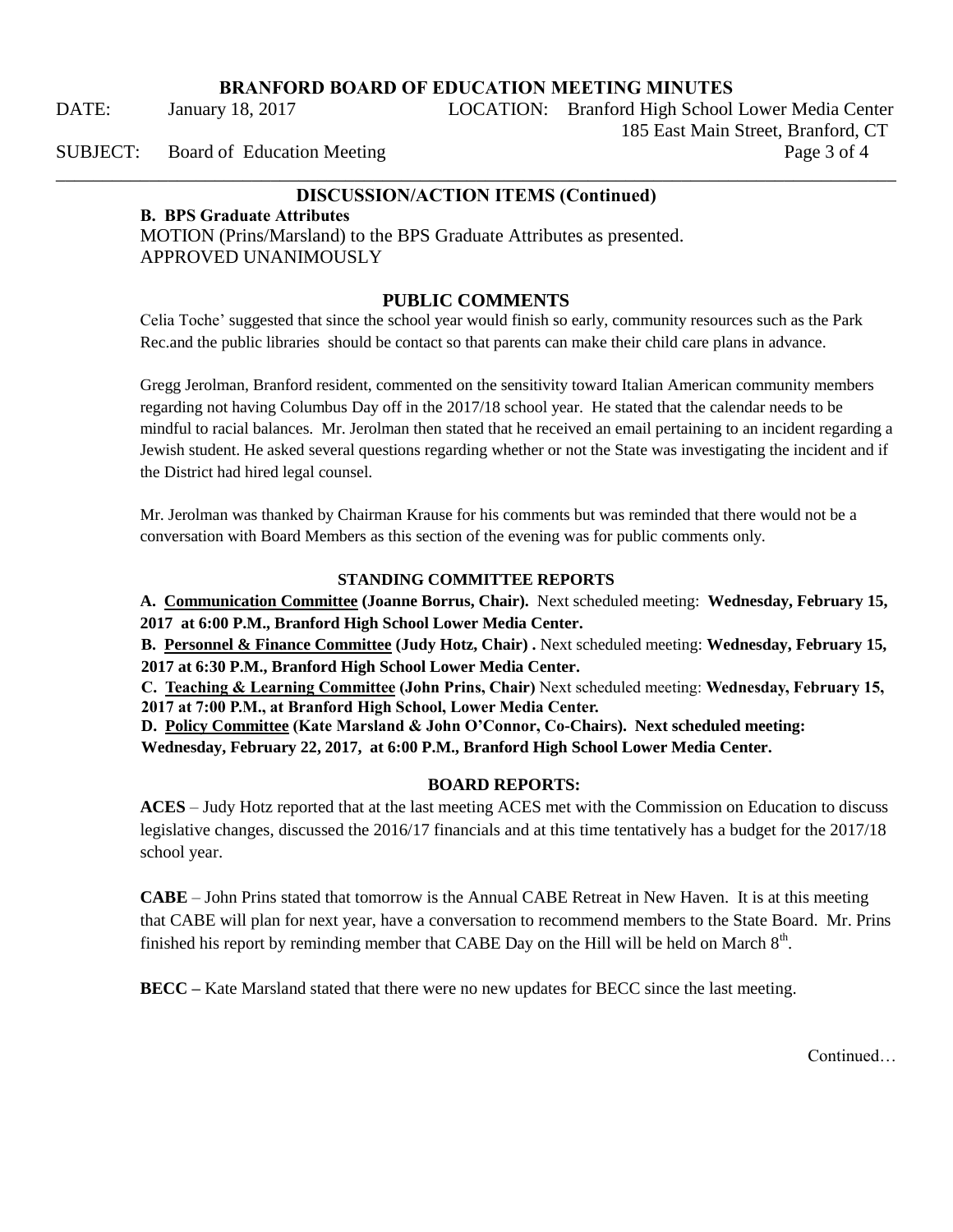DATE: January 18, 2017 LOCATION: Branford High School Lower Media Center 185 East Main Street, Branford, CT SUBJECT: Board of Education Meeting Page 3 of 4

# \_\_\_\_\_\_\_\_\_\_\_\_\_\_\_\_\_\_\_\_\_\_\_\_\_\_\_\_\_\_\_\_\_\_\_\_\_\_\_\_\_\_\_\_\_\_\_\_\_\_\_\_\_\_\_\_\_\_\_\_\_\_\_\_\_\_\_\_\_\_\_\_\_\_\_\_\_\_\_\_\_\_\_\_\_\_\_\_\_\_ **DISCUSSION/ACTION ITEMS (Continued)**

## **B. BPS Graduate Attributes**

MOTION (Prins/Marsland) to the BPS Graduate Attributes as presented. APPROVED UNANIMOUSLY

# **PUBLIC COMMENTS**

Celia Toche' suggested that since the school year would finish so early, community resources such as the Park Rec.and the public libraries should be contact so that parents can make their child care plans in advance.

Gregg Jerolman, Branford resident, commented on the sensitivity toward Italian American community members regarding not having Columbus Day off in the 2017/18 school year. He stated that the calendar needs to be mindful to racial balances. Mr. Jerolman then stated that he received an email pertaining to an incident regarding a Jewish student. He asked several questions regarding whether or not the State was investigating the incident and if the District had hired legal counsel.

Mr. Jerolman was thanked by Chairman Krause for his comments but was reminded that there would not be a conversation with Board Members as this section of the evening was for public comments only.

#### **STANDING COMMITTEE REPORTS**

**A. Communication Committee (Joanne Borrus, Chair).** Next scheduled meeting: **Wednesday, February 15, 2017 at 6:00 P.M., Branford High School Lower Media Center.** 

**B. Personnel & Finance Committee (Judy Hotz, Chair) .** Next scheduled meeting: **Wednesday, February 15, 2017 at 6:30 P.M., Branford High School Lower Media Center.** 

**C. Teaching & Learning Committee (John Prins, Chair)** Next scheduled meeting: **Wednesday, February 15, 2017 at 7:00 P.M., at Branford High School, Lower Media Center.** 

**D. Policy Committee (Kate Marsland & John O'Connor, Co-Chairs). Next scheduled meeting:** 

**Wednesday, February 22, 2017, at 6:00 P.M., Branford High School Lower Media Center.** 

#### **BOARD REPORTS:**

**ACES** – Judy Hotz reported that at the last meeting ACES met with the Commission on Education to discuss legislative changes, discussed the 2016/17 financials and at this time tentatively has a budget for the 2017/18 school year.

**CABE** – John Prins stated that tomorrow is the Annual CABE Retreat in New Haven. It is at this meeting that CABE will plan for next year, have a conversation to recommend members to the State Board. Mr. Prins finished his report by reminding member that CABE Day on the Hill will be held on March  $8<sup>th</sup>$ .

**BECC –** Kate Marsland stated that there were no new updates for BECC since the last meeting.

**Continued**